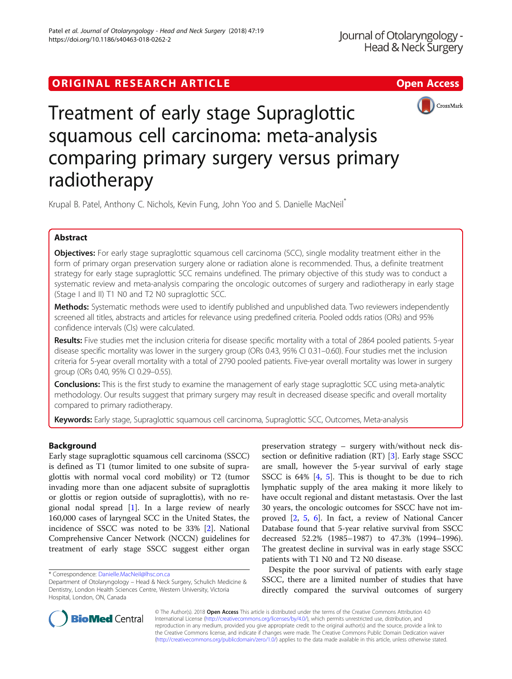# ORIGINAL RESEARCH ARTICLE **External of the Contract Contract Contract Contract Contract Contract Contract Contract Contract Contract Contract Contract Contract Contract Contract Contract Contract Contract Contract Contract**



# Treatment of early stage Supraglottic squamous cell carcinoma: meta-analysis comparing primary surgery versus primary radiotherapy

Krupal B. Patel, Anthony C. Nichols, Kevin Fung, John Yoo and S. Danielle MacNeil<sup>\*</sup>

# Abstract

Objectives: For early stage supraglottic squamous cell carcinoma (SCC), single modality treatment either in the form of primary organ preservation surgery alone or radiation alone is recommended. Thus, a definite treatment strategy for early stage supraglottic SCC remains undefined. The primary objective of this study was to conduct a systematic review and meta-analysis comparing the oncologic outcomes of surgery and radiotherapy in early stage (Stage I and II) T1 N0 and T2 N0 supraglottic SCC.

Methods: Systematic methods were used to identify published and unpublished data. Two reviewers independently screened all titles, abstracts and articles for relevance using predefined criteria. Pooled odds ratios (ORs) and 95% confidence intervals (CIs) were calculated.

Results: Five studies met the inclusion criteria for disease specific mortality with a total of 2864 pooled patients. 5-year disease specific mortality was lower in the surgery group (ORs 0.43, 95% CI 0.31–0.60). Four studies met the inclusion criteria for 5-year overall mortality with a total of 2790 pooled patients. Five-year overall mortality was lower in surgery group (ORs 0.40, 95% CI 0.29–0.55).

**Conclusions:** This is the first study to examine the management of early stage supraglottic SCC using meta-analytic methodology. Our results suggest that primary surgery may result in decreased disease specific and overall mortality compared to primary radiotherapy.

Keywords: Early stage, Supraglottic squamous cell carcinoma, Supraglottic SCC, Outcomes, Meta-analysis

# Background

Early stage supraglottic squamous cell carcinoma (SSCC) is defined as T1 (tumor limited to one subsite of supraglottis with normal vocal cord mobility) or T2 (tumor invading more than one adjacent subsite of supraglottis or glottis or region outside of supraglottis), with no regional nodal spread [\[1\]](#page-6-0). In a large review of nearly 160,000 cases of laryngeal SCC in the United States, the incidence of SSCC was noted to be 33% [[2](#page-6-0)]. National Comprehensive Cancer Network (NCCN) guidelines for treatment of early stage SSCC suggest either organ

preservation strategy – surgery with/without neck dissection or definitive radiation (RT) [\[3](#page-6-0)]. Early stage SSCC are small, however the 5-year survival of early stage SSCC is 64% [[4,](#page-6-0) [5](#page-6-0)]. This is thought to be due to rich lymphatic supply of the area making it more likely to have occult regional and distant metastasis. Over the last 30 years, the oncologic outcomes for SSCC have not improved [[2,](#page-6-0) [5,](#page-6-0) [6\]](#page-6-0). In fact, a review of National Cancer Database found that 5-year relative survival from SSCC decreased 52.2% (1985–1987) to 47.3% (1994–1996). The greatest decline in survival was in early stage SSCC patients with T1 N0 and T2 N0 disease.

Despite the poor survival of patients with early stage SSCC, there are a limited number of studies that have directly compared the survival outcomes of surgery



© The Author(s). 2018 Open Access This article is distributed under the terms of the Creative Commons Attribution 4.0 International License [\(http://creativecommons.org/licenses/by/4.0/](http://creativecommons.org/licenses/by/4.0/)), which permits unrestricted use, distribution, and reproduction in any medium, provided you give appropriate credit to the original author(s) and the source, provide a link to the Creative Commons license, and indicate if changes were made. The Creative Commons Public Domain Dedication waiver [\(http://creativecommons.org/publicdomain/zero/1.0/](http://creativecommons.org/publicdomain/zero/1.0/)) applies to the data made available in this article, unless otherwise stated.

<sup>\*</sup> Correspondence: [Danielle.MacNeil@lhsc.on.ca](mailto:Danielle.MacNeil@lhsc.on.ca)

Department of Otolaryngology – Head & Neck Surgery, Schulich Medicine & Dentistry, London Health Sciences Centre, Western University, Victoria Hospital, London, ON, Canada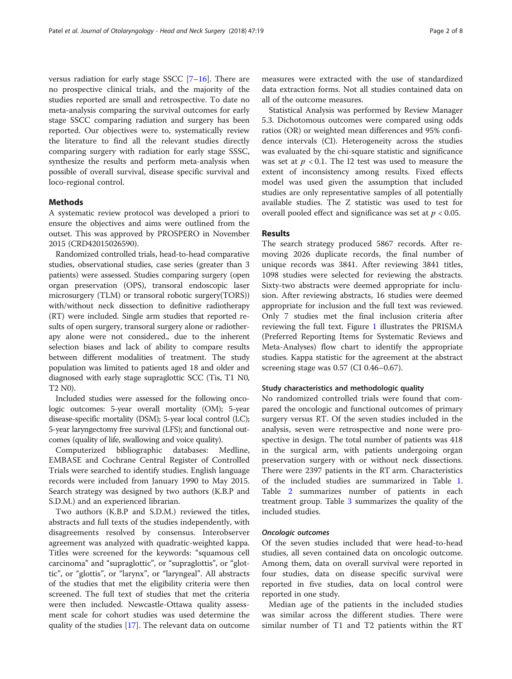versus radiation for early stage SSCC [\[7](#page-6-0)–[16\]](#page-6-0). There are no prospective clinical trials, and the majority of the studies reported are small and retrospective. To date no meta-analysis comparing the survival outcomes for early stage SSCC comparing radiation and surgery has been reported. Our objectives were to, systematically review the literature to find all the relevant studies directly comparing surgery with radiation for early stage SSSC, synthesize the results and perform meta-analysis when possible of overall survival, disease specific survival and loco-regional control.

# Methods

A systematic review protocol was developed a priori to ensure the objectives and aims were outlined from the outset. This was approved by PROSPERO in November 2015 (CRD42015026590).

Randomized controlled trials, head-to-head comparative studies, observational studies, case series (greater than 3 patients) were assessed. Studies comparing surgery (open organ preservation (OPS), transoral endoscopic laser microsurgery (TLM) or transoral robotic surgery(TORS)) with/without neck dissection to definitive radiotherapy (RT) were included. Single arm studies that reported results of open surgery, transoral surgery alone or radiotherapy alone were not considered., due to the inherent selection biases and lack of ability to compare results between different modalities of treatment. The study population was limited to patients aged 18 and older and diagnosed with early stage supraglottic SCC (Tis, T1 N0, T2 N0).

Included studies were assessed for the following oncologic outcomes: 5-year overall mortality (OM); 5-year disease-specific mortality (DSM); 5-year local control (LC); 5-year laryngectomy free survival (LFS); and functional outcomes (quality of life, swallowing and voice quality).

Computerized bibliographic databases: Medline, EMBASE and Cochrane Central Register of Controlled Trials were searched to identify studies. English language records were included from January 1990 to May 2015. Search strategy was designed by two authors (K.B.P and S.D.M.) and an experienced librarian.

Two authors (K.B.P and S.D.M.) reviewed the titles, abstracts and full texts of the studies independently, with disagreements resolved by consensus. Interobserver agreement was analyzed with quadratic-weighted kappa. Titles were screened for the keywords: "squamous cell carcinoma" and "supraglottic", or "supraglottis", or "glottic", or "glottis", or "larynx", or "laryngeal". All abstracts of the studies that met the eligibility criteria were then screened. The full text of studies that met the criteria were then included. Newcastle-Ottawa quality assessment scale for cohort studies was used determine the quality of the studies [\[17](#page-6-0)]. The relevant data on outcome

measures were extracted with the use of standardized data extraction forms. Not all studies contained data on all of the outcome measures.

Statistical Analysis was performed by Review Manager 5.3. Dichotomous outcomes were compared using odds ratios (OR) or weighted mean differences and 95% confidence intervals (CI). Heterogeneity across the studies was evaluated by the chi-square statistic and significance was set at  $p < 0.1$ . The I2 test was used to measure the extent of inconsistency among results. Fixed effects model was used given the assumption that included studies are only representative samples of all potentially available studies. The Z statistic was used to test for overall pooled effect and significance was set at  $p < 0.05$ .

# Results

The search strategy produced 5867 records. After removing 2026 duplicate records, the final number of unique records was 3841. After reviewing 3841 titles, 1098 studies were selected for reviewing the abstracts. Sixty-two abstracts were deemed appropriate for inclusion. After reviewing abstracts, 16 studies were deemed appropriate for inclusion and the full text was reviewed. Only 7 studies met the final inclusion criteria after reviewing the full text. Figure [1](#page-2-0) illustrates the PRISMA (Preferred Reporting Items for Systematic Reviews and Meta-Analyses) flow chart to identify the appropriate studies. Kappa statistic for the agreement at the abstract screening stage was 0.57 (CI 0.46–0.67).

# Study characteristics and methodologic quality

No randomized controlled trials were found that compared the oncologic and functional outcomes of primary surgery versus RT. Of the seven studies included in the analysis, seven were retrospective and none were prospective in design. The total number of patients was 418 in the surgical arm, with patients undergoing organ preservation surgery with or without neck dissections. There were 2397 patients in the RT arm. Characteristics of the included studies are summarized in Table [1](#page-2-0). Table [2](#page-3-0) summarizes number of patients in each treatment group. Table [3](#page-3-0) summarizes the quality of the included studies.

Of the seven studies included that were head-to-head studies, all seven contained data on oncologic outcome. Among them, data on overall survival were reported in four studies, data on disease specific survival were reported in five studies, data on local control were reported in one study.

Median age of the patients in the included studies was similar across the different studies. There were similar number of T1 and T2 patients within the RT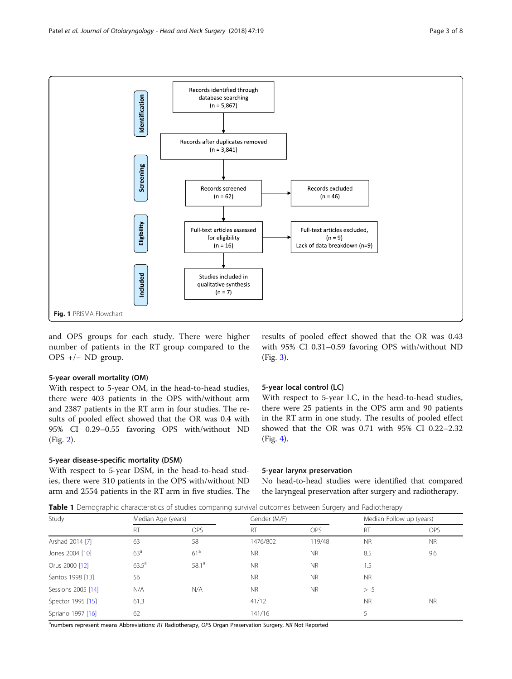<span id="page-2-0"></span>

and OPS groups for each study. There were higher number of patients in the RT group compared to the OPS +/− ND group.

# 5-year overall mortality (OM)

With respect to 5-year OM, in the head-to-head studies, there were 403 patients in the OPS with/without arm and 2387 patients in the RT arm in four studies. The results of pooled effect showed that the OR was 0.4 with 95% CI 0.29–0.55 favoring OPS with/without ND (Fig. [2](#page-4-0)).

# 5-year disease-specific mortality (DSM)

With respect to 5-year DSM, in the head-to-head studies, there were 310 patients in the OPS with/without ND arm and 2554 patients in the RT arm in five studies. The results of pooled effect showed that the OR was 0.43 with 95% CI 0.31–0.59 favoring OPS with/without ND (Fig. [3](#page-4-0)).

# 5-year local control (LC)

With respect to 5-year LC, in the head-to-head studies, there were 25 patients in the OPS arm and 90 patients in the RT arm in one study. The results of pooled effect showed that the OR was 0.71 with 95% CI 0.22–2.32 (Fig. [4](#page-5-0)).

# 5-year larynx preservation

No head-to-head studies were identified that compared the laryngeal preservation after surgery and radiotherapy.

|  |  | Table 1 Demographic characteristics of studies comparing survival outcomes between Surgery and Radiotherapy |  |  |  |  |  |  |  |  |
|--|--|-------------------------------------------------------------------------------------------------------------|--|--|--|--|--|--|--|--|
|--|--|-------------------------------------------------------------------------------------------------------------|--|--|--|--|--|--|--|--|

| Study              | Median Age (years) |                 | Gender (M/F) |            | Median Follow up (years) |            |
|--------------------|--------------------|-----------------|--------------|------------|--------------------------|------------|
|                    | RT                 | OPS             | RT           | <b>OPS</b> | <b>RT</b>                | <b>OPS</b> |
| Arshad 2014 [7]    | 63                 | 58              | 1476/802     | 119/48     | <b>NR</b>                | <b>NR</b>  |
| Jones 2004 [10]    | 63 <sup>a</sup>    | 61 <sup>a</sup> | NR.          | <b>NR</b>  | 8.5                      | 9.6        |
| Orus 2000 [12]     | $63.5^{\circ}$     | $58.1^a$        | <b>NR</b>    | <b>NR</b>  | 1.5                      |            |
| Santos 1998 [13]   | 56                 |                 | <b>NR</b>    | <b>NR</b>  | <b>NR</b>                |            |
| Sessions 2005 [14] | N/A                | N/A             | NR.          | <b>NR</b>  | > 5                      |            |
| Spector 1995 [15]  | 61.3               |                 | 41/12        |            | <b>NR</b>                | <b>NR</b>  |
| Spriano 1997 [16]  | 62                 |                 | 141/16       |            |                          |            |

<sup>a</sup>numbers represent means Abbreviations: RT Radiotherapy, OPS Organ Preservation Surgery, NR Not Reported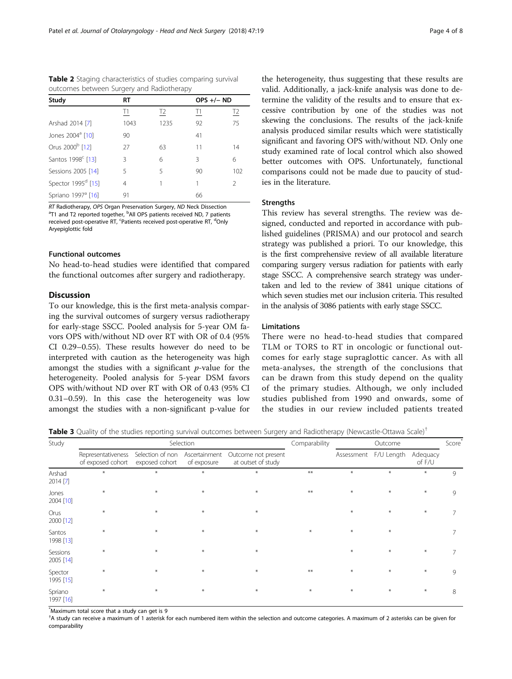<span id="page-3-0"></span>Table 2 Staging characteristics of studies comparing survival outcomes between Surgery and Radiotherapy

| Study                          | RT   |                |    | OPS $+/-$ ND  |  |
|--------------------------------|------|----------------|----|---------------|--|
|                                | Τ1   | T <sub>2</sub> | Τ1 | T2            |  |
| Arshad 2014 [7]                | 1043 | 1235           | 92 | 75            |  |
| Jones 2004 <sup>ª</sup> [10]   | 90   |                | 41 |               |  |
| Orus 2000 <sup>b</sup> [12]    | 27   | 63             | 11 | 14            |  |
| Santos 1998 <sup>c</sup> [13]  | 3    | 6              | 3  | 6             |  |
| Sessions 2005 [14]             | 5    | 5              | 90 | 102           |  |
| Spector 1995 <sup>d</sup> [15] | 4    |                |    | $\mathcal{P}$ |  |
| Spriano 1997 <sup>ª</sup> [16] | 91   |                | 66 |               |  |
|                                |      |                |    |               |  |

RT Radiotherapy, OPS Organ Preservation Surgery, ND Neck Dissection T1 and T2 reported together, <sup>b</sup>All OPS patients received ND, 7 patients received post-operative RT, <sup>c</sup>Patients received post-operative RT, <sup>d</sup>Only Aryepiglottic fold

# Functional outcomes

No head-to-head studies were identified that compared the functional outcomes after surgery and radiotherapy.

# **Discussion**

To our knowledge, this is the first meta-analysis comparing the survival outcomes of surgery versus radiotherapy for early-stage SSCC. Pooled analysis for 5-year OM favors OPS with/without ND over RT with OR of 0.4 (95% CI 0.29–0.55). These results however do need to be interpreted with caution as the heterogeneity was high amongst the studies with a significant  $p$ -value for the heterogeneity. Pooled analysis for 5-year DSM favors OPS with/without ND over RT with OR of 0.43 (95% CI 0.31–0.59). In this case the heterogeneity was low amongst the studies with a non-significant p-value for

the heterogeneity, thus suggesting that these results are valid. Additionally, a jack-knife analysis was done to determine the validity of the results and to ensure that excessive contribution by one of the studies was not skewing the conclusions. The results of the jack-knife analysis produced similar results which were statistically significant and favoring OPS with/without ND. Only one study examined rate of local control which also showed better outcomes with OPS. Unfortunately, functional comparisons could not be made due to paucity of studies in the literature.

# **Strengths**

This review has several strengths. The review was designed, conducted and reported in accordance with published guidelines (PRISMA) and our protocol and search strategy was published a priori. To our knowledge, this is the first comprehensive review of all available literature comparing surgery versus radiation for patients with early stage SSCC. A comprehensive search strategy was undertaken and led to the review of 3841 unique citations of which seven studies met our inclusion criteria. This resulted in the analysis of 3086 patients with early stage SSCC.

### **Limitations**

There were no head-to-head studies that compared TLM or TORS to RT in oncologic or functional outcomes for early stage supraglottic cancer. As with all meta-analyses, the strength of the conclusions that can be drawn from this study depend on the quality of the primary studies. Although, we only included studies published from 1990 and onwards, some of the studies in our review included patients treated

Table 3 Quality of the studies reporting survival outcomes between Surgery and Radiotherapy (Newcastle-Ottawa Scale)<sup>†</sup>

| Study                 |                                         |                                    | Selection                    | Comparability                             |        | Score <sup>®</sup> |            |                    |   |
|-----------------------|-----------------------------------------|------------------------------------|------------------------------|-------------------------------------------|--------|--------------------|------------|--------------------|---|
|                       | Representativeness<br>of exposed cohort | Selection of non<br>exposed cohort | Ascertainment<br>of exposure | Outcome not present<br>at outset of study |        | Assessment         | F/U Length | Adequacy<br>of F/U |   |
| Arshad<br>2014 [7]    | $\ast$                                  | $\ast$                             | ÷                            | $\ast$                                    | $***$  | $\ast$             | $\ast$     | $*$                | 9 |
| Jones<br>2004 [10]    | $*$                                     | $*$                                | ÷.                           | $*$                                       | $***$  | $\ast$             | $\ast$     | $\ast$             | 9 |
| Orus<br>2000 [12]     | $*$                                     | $*$                                | *                            | $\ast$                                    |        | $\ast$             | $\ast$     | $\ast$             |   |
| Santos<br>1998 [13]   | $*$                                     | $*$                                | *                            | $*$                                       | $*$    | $*$                | $*$        |                    |   |
| Sessions<br>2005 [14] | $*$                                     | ¥                                  | ÷.                           | $\ast$                                    |        | $\ast$             | $\ast$     | $\ast$             |   |
| Spector<br>1995 [15]  | $*$                                     | ¥                                  |                              | $*$                                       | $**$   | $*$                | $*$        | $*$                | 9 |
| Spriano<br>1997 [16]  | $\ast$                                  | ⋇                                  | $*$                          | $\ast$                                    | $\ast$ | $\ast$             | $\ast$     | $\ast$             | 8 |

\* Maximum total score that a study can get is 9

† A study can receive a maximum of 1 asterisk for each numbered item within the selection and outcome categories. A maximum of 2 asterisks can be given for comparability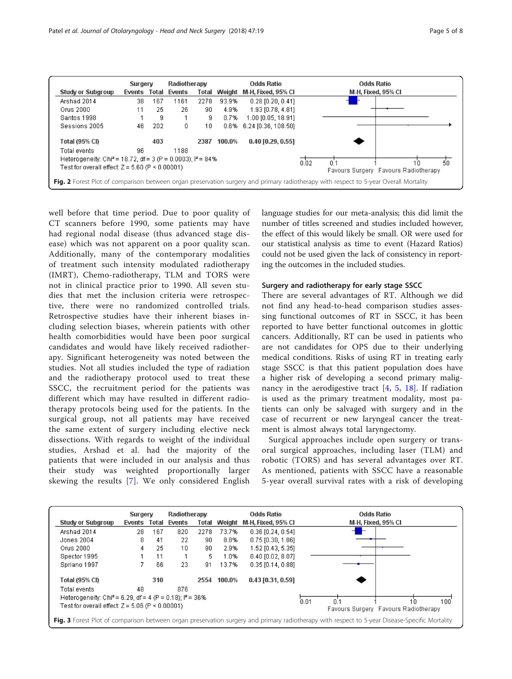<span id="page-4-0"></span>

well before that time period. Due to poor quality of CT scanners before 1990, some patients may have had regional nodal disease (thus advanced stage disease) which was not apparent on a poor quality scan. Additionally, many of the contemporary modalities of treatment such intensity modulated radiotherapy (IMRT), Chemo-radiotherapy, TLM and TORS were not in clinical practice prior to 1990. All seven studies that met the inclusion criteria were retrospective, there were no randomized controlled trials. Retrospective studies have their inherent biases including selection biases, wherein patients with other health comorbidities would have been poor surgical candidates and would have likely received radiotherapy. Significant heterogeneity was noted between the studies. Not all studies included the type of radiation and the radiotherapy protocol used to treat these SSCC, the recruitment period for the patients was different which may have resulted in different radiotherapy protocols being used for the patients. In the surgical group, not all patients may have received the same extent of surgery including elective neck dissections. With regards to weight of the individual studies, Arshad et al. had the majority of the patients that were included in our analysis and thus their study was weighted proportionally larger skewing the results [[7](#page-6-0)]. We only considered English

language studies for our meta-analysis; this did limit the number of titles screened and studies included however, the effect of this would likely be small. OR were used for our statistical analysis as time to event (Hazard Ratios) could not be used given the lack of consistency in reporting the outcomes in the included studies.

# Surgery and radiotherapy for early stage SSCC

There are several advantages of RT. Although we did not find any head-to-head comparison studies assessing functional outcomes of RT in SSCC, it has been reported to have better functional outcomes in glottic cancers. Additionally, RT can be used in patients who are not candidates for OPS due to their underlying medical conditions. Risks of using RT in treating early stage SSCC is that this patient population does have a higher risk of developing a second primary malignancy in the aerodigestive tract  $[4, 5, 18]$  $[4, 5, 18]$  $[4, 5, 18]$  $[4, 5, 18]$  $[4, 5, 18]$  $[4, 5, 18]$ . If radiation is used as the primary treatment modality, most patients can only be salvaged with surgery and in the case of recurrent or new laryngeal cancer the treatment is almost always total laryngectomy.

Surgical approaches include open surgery or transoral surgical approaches, including laser (TLM) and robotic (TORS) and has several advantages over RT. As mentioned, patients with SSCC have a reasonable 5-year overall survival rates with a risk of developing

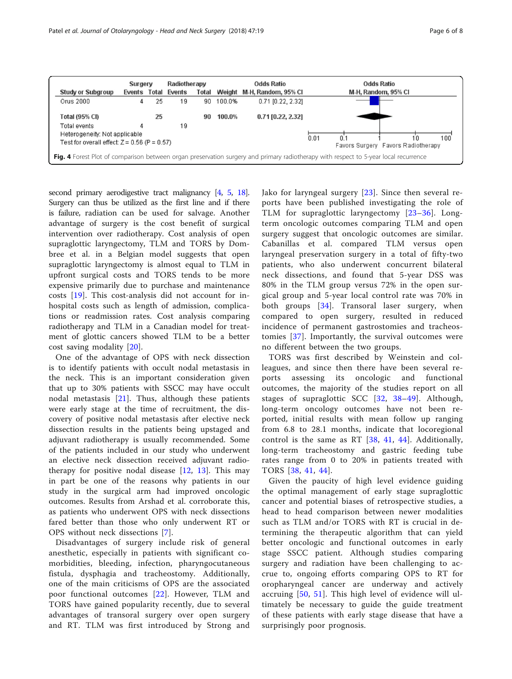<span id="page-5-0"></span>

|                                                                                                                                      | Radiotherapy<br>Surgery |    |        | Odds Ratio | Odds Ratio |                            |                                                                   |
|--------------------------------------------------------------------------------------------------------------------------------------|-------------------------|----|--------|------------|------------|----------------------------|-------------------------------------------------------------------|
| <b>Study or Subgroup</b>                                                                                                             | Events Total            |    | Events | Total      |            | Weight M-H, Random, 95% Cl | M-H, Random, 95% CI                                               |
| Orus 2000                                                                                                                            | 4                       | 25 | 19     | 90         | 100.0%     | 0.71 [0.22, 2.32]          |                                                                   |
| Total (95% CI)                                                                                                                       |                         | 25 |        | 90         | 100.0%     | $0.71$ [0.22, 2.32]        |                                                                   |
| Total events<br>Heterogeneity: Not applicable<br>Test for overall effect: $Z = 0.56$ (P = 0.57)                                      | 4                       |    | 19     |            |            |                            | $100^{\circ}$<br>0.01<br>10<br>Favors Surgery Favors Radiotherapy |
| Fig. 4 Forest Plot of comparison between organ preservation surgery and primary radiotherapy with respect to 5-year local recurrence |                         |    |        |            |            |                            |                                                                   |

second primary aerodigestive tract malignancy [\[4](#page-6-0), [5](#page-6-0), [18\]](#page-6-0). Surgery can thus be utilized as the first line and if there is failure, radiation can be used for salvage. Another advantage of surgery is the cost benefit of surgical intervention over radiotherapy. Cost analysis of open supraglottic laryngectomy, TLM and TORS by Dombree et al. in a Belgian model suggests that open supraglottic laryngectomy is almost equal to TLM in upfront surgical costs and TORS tends to be more expensive primarily due to purchase and maintenance costs [[19\]](#page-6-0). This cost-analysis did not account for inhospital costs such as length of admission, complications or readmission rates. Cost analysis comparing radiotherapy and TLM in a Canadian model for treatment of glottic cancers showed TLM to be a better cost saving modality [[20\]](#page-7-0).

One of the advantage of OPS with neck dissection is to identify patients with occult nodal metastasis in the neck. This is an important consideration given that up to 30% patients with SSCC may have occult nodal metastasis [\[21](#page-7-0)]. Thus, although these patients were early stage at the time of recruitment, the discovery of positive nodal metastasis after elective neck dissection results in the patients being upstaged and adjuvant radiotherapy is usually recommended. Some of the patients included in our study who underwent an elective neck dissection received adjuvant radiotherapy for positive nodal disease  $[12, 13]$  $[12, 13]$  $[12, 13]$ . This may in part be one of the reasons why patients in our study in the surgical arm had improved oncologic outcomes. Results from Arshad et al. corroborate this, as patients who underwent OPS with neck dissections fared better than those who only underwent RT or OPS without neck dissections [[7](#page-6-0)].

Disadvantages of surgery include risk of general anesthetic, especially in patients with significant comorbidities, bleeding, infection, pharyngocutaneous fistula, dysphagia and tracheostomy. Additionally, one of the main criticisms of OPS are the associated poor functional outcomes [[22](#page-7-0)]. However, TLM and TORS have gained popularity recently, due to several advantages of transoral surgery over open surgery and RT. TLM was first introduced by Strong and Jako for laryngeal surgery [[23](#page-7-0)]. Since then several reports have been published investigating the role of TLM for supraglottic laryngectomy [[23](#page-7-0)–[36](#page-7-0)]. Longterm oncologic outcomes comparing TLM and open surgery suggest that oncologic outcomes are similar. Cabanillas et al. compared TLM versus open laryngeal preservation surgery in a total of fifty-two patients, who also underwent concurrent bilateral neck dissections, and found that 5-year DSS was 80% in the TLM group versus 72% in the open surgical group and 5-year local control rate was 70% in both groups [[34\]](#page-7-0). Transoral laser surgery, when compared to open surgery, resulted in reduced incidence of permanent gastrostomies and tracheostomies [[37\]](#page-7-0). Importantly, the survival outcomes were no different between the two groups.

TORS was first described by Weinstein and colleagues, and since then there have been several reports assessing its oncologic and functional outcomes, the majority of the studies report on all stages of supraglottic SCC [[32](#page-7-0), [38](#page-7-0)–[49\]](#page-7-0). Although, long-term oncology outcomes have not been reported, initial results with mean follow up ranging from 6.8 to 28.1 months, indicate that locoregional control is the same as RT [\[38,](#page-7-0) [41,](#page-7-0) [44\]](#page-7-0). Additionally, long-term tracheostomy and gastric feeding tube rates range from 0 to 20% in patients treated with TORS [[38](#page-7-0), [41,](#page-7-0) [44](#page-7-0)].

Given the paucity of high level evidence guiding the optimal management of early stage supraglottic cancer and potential biases of retrospective studies, a head to head comparison between newer modalities such as TLM and/or TORS with RT is crucial in determining the therapeutic algorithm that can yield better oncologic and functional outcomes in early stage SSCC patient. Although studies comparing surgery and radiation have been challenging to accrue to, ongoing efforts comparing OPS to RT for oropharyngeal cancer are underway and actively accruing [\[50,](#page-7-0) [51](#page-7-0)]. This high level of evidence will ultimately be necessary to guide the guide treatment of these patients with early stage disease that have a surprisingly poor prognosis.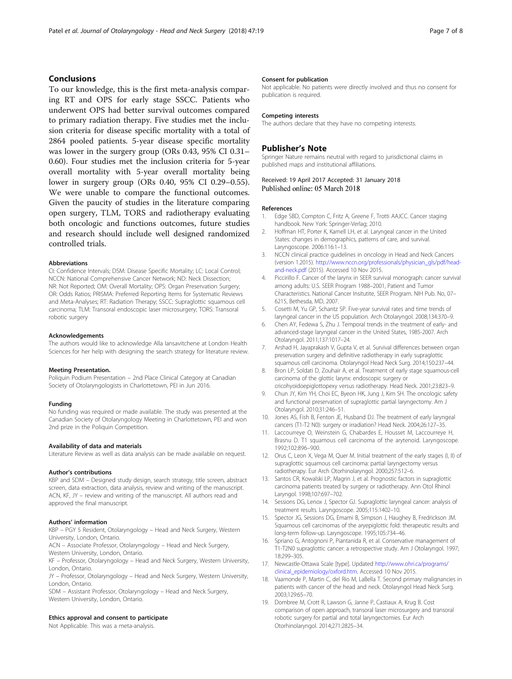# <span id="page-6-0"></span>Conclusions

To our knowledge, this is the first meta-analysis comparing RT and OPS for early stage SSCC. Patients who underwent OPS had better survival outcomes compared to primary radiation therapy. Five studies met the inclusion criteria for disease specific mortality with a total of 2864 pooled patients. 5-year disease specific mortality was lower in the surgery group (ORs 0.43, 95% CI 0.31– 0.60). Four studies met the inclusion criteria for 5-year overall mortality with 5-year overall mortality being lower in surgery group (ORs 0.40, 95% CI 0.29–0.55). We were unable to compare the functional outcomes. Given the paucity of studies in the literature comparing open surgery, TLM, TORS and radiotherapy evaluating both oncologic and functions outcomes, future studies and research should include well designed randomized controlled trials.

#### Abbreviations

CI: Confidence Intervals; DSM: Disease Specific Mortality; LC: Local Control; NCCN: National Comprehensive Cancer Network; ND: Neck Dissection; NR: Not Reported; OM: Overall Mortality; OPS: Organ Preservation Surgery; OR: Odds Ratios; PRISMA: Preferred Reporting Items for Systematic Reviews and Meta-Analyses; RT: Radiation Therapy; SSCC: Supraglottic squamous cell carcinoma; TLM: Transoral endoscopic laser microsurgery; TORS: Transoral robotic surgery

#### Acknowledgements

The authors would like to acknowledge Alla Iansavitchene at London Health Sciences for her help with designing the search strategy for literature review.

#### Meeting Presentation.

Poliquin Podium Presentation – 2nd Place Clinical Category at Canadian Society of Otolaryngologists in Charlottetown, PEI in Jun 2016.

#### Funding

No funding was required or made available. The study was presented at the Canadian Society of Otolaryngology Meeting in Charlottetown, PEI and won 2nd prize in the Poliquin Competition.

#### Availability of data and materials

Literature Review as well as data analysis can be made available on request.

#### Author's contributions

KBP and SDM – Designed study design, search strategy, title screen, abstract screen, data extraction, data analysis, review and writing of the manuscript. ACN, KF, JY – review and writing of the manuscript. All authors read and approved the final manuscript.

#### Authors' information

KBP – PGY 5 Resident, Otolaryngology – Head and Neck Surgery, Western University, London, Ontario.

ACN – Associate Professor, Otolaryngology – Head and Neck Surgery, Western University, London, Ontario.

KF – Professor, Otolaryngology – Head and Neck Surgery, Western University, London, Ontario.

JY – Professor, Otolaryngology – Head and Neck Surgery, Western University, London, Ontario.

SDM – Assistant Professor, Otolaryngology – Head and Neck Surgery, Western University, London, Ontario.

# Ethics approval and consent to participate

Not Applicable. This was a meta-analysis.

#### Consent for publication

Not applicable. No patients were directly involved and thus no consent for publication is required.

#### Competing interests

The authors declare that they have no competing interests.

#### Publisher's Note

Springer Nature remains neutral with regard to jurisdictional claims in published maps and institutional affiliations.

#### Received: 19 April 2017 Accepted: 31 January 2018 Published online: 05 March 2018

#### References

- 1. Edge SBD, Compton C, Fritz A, Greene F, Trotti AAJCC. Cancer staging handbook. New York: Springer-Verlag; 2010.
- 2. Hoffman HT, Porter K, Karnell LH, et al. Laryngeal cancer in the United States: changes in demographics, patterns of care, and survival. Laryngoscope. 2006:116:1–13.
- 3. NCCN clinical practice guidelines in oncology in Head and Neck Cancers (version 1.2015). [http://www.nccn.org/professionals/physician\\_gls/pdf/head](http://www.nccn.org/professionals/physician_gls/pdf/head-and-neck.pdf)[and-neck.pdf](http://www.nccn.org/professionals/physician_gls/pdf/head-and-neck.pdf) (2015). Accessed 10 Nov 2015.
- 4. Piccirillo F. Cancer of the larynx in SEER survival monograph: cancer survival among adults: U.S. SEER Program 1988–2001, Patient and Tumor Characteristics. National Cancer Insitutite, SEER Program. NIH Pub. No, 07– 6215, Bethesda, MD, 2007.
- 5. Cosetti M, Yu GP, Schantz SP. Five-year survival rates and time trends of laryngeal cancer in the US population. Arch Otolaryngol. 2008;134:370–9.
- 6. Chen AY, Fedewa S, Zhu J. Temporal trends in the treatment of early- and advanced-stage laryngeal cancer in the United States, 1985-2007. Arch Otolaryngol. 2011;137:1017–24.
- 7. Arshad H, Jayaprakash V, Gupta V, et al. Survival differences between organ preservation surgery and definitive radiotherapy in early supraglottic squamous cell carcinoma. Otolaryngol Head Neck Surg. 2014;150:237–44.
- 8. Bron LP, Soldati D, Zouhair A, et al. Treatment of early stage squamous-cell carcinoma of the glottic larynx: endoscopic surgery or cricohyoidoepiglottopexy versus radiotherapy. Head Neck. 2001;23:823–9.
- 9. Chun JY, Kim YH, Choi EC, Byeon HK, Jung J, Kim SH. The oncologic safety and functional preservation of supraglottic partial laryngectomy. Am J Otolaryngol. 2010;31:246–51.
- 10. Jones AS, Fish B, Fenton JE, Husband DJ. The treatment of early laryngeal cancers (T1-T2 N0): surgery or irradiation? Head Neck. 2004;26:127–35.
- 11. Laccourreye O, Weinstein G, Chabardes E, Housset M, Laccourreye H, Brasnu D. T1 squamous cell carcinoma of the arytenoid. Laryngoscope. 1992;102:896–900.
- 12. Orus C, Leon X, Vega M, Quer M. Initial treatment of the early stages (I, II) of supraglottic squamous cell carcinoma: partial laryngectomy versus radiotherapy. Eur Arch Otorhinolaryngol. 2000;257:512–6.
- 13. Santos CR, Kowalski LP, Magrin J, et al. Prognostic factors in supraglottic carcinoma patients treated by surgery or radiotherapy. Ann Otol Rhinol Laryngol. 1998;107:697–702.
- 14. Sessions DG, Lenox J, Spector GJ. Supraglottic laryngeal cancer: analysis of treatment results. Laryngoscope. 2005;115:1402–10.
- 15. Spector JG, Sessions DG, Emami B, Simpson J, Haughey B, Fredrickson JM. Squamous cell carcinomas of the aryepiglottic fold: therapeutic results and long-term follow-up. Laryngoscope. 1995;105:734–46.
- 16. Spriano G, Antognoni P, Piantanida R, et al. Conservative management of T1-T2N0 supraglottic cancer: a retrospective study. Am J Otolaryngol. 1997; 18:299–305.
- 17. Newcastle-Ottawa Scale [type]. Updated [http://www.ohri.ca/programs/](http://www.ohri.ca/programs/clinical_epidemiology/oxford.htm) [clinical\\_epidemiology/oxford.htm.](http://www.ohri.ca/programs/clinical_epidemiology/oxford.htm) Accessed 10 Nov 2015.
- 18. Vaamonde P, Martin C, del Rio M, LaBella T. Second primary malignancies in patients with cancer of the head and neck. Otolaryngol Head Neck Surg. 2003;129:65–70.
- 19. Dombree M, Crott R, Lawson G, Janne P, Castiaux A, Krug B. Cost comparison of open approach, transoral laser microsurgery and transoral robotic surgery for partial and total laryngectomies. Eur Arch Otorhinolaryngol. 2014;271:2825–34.